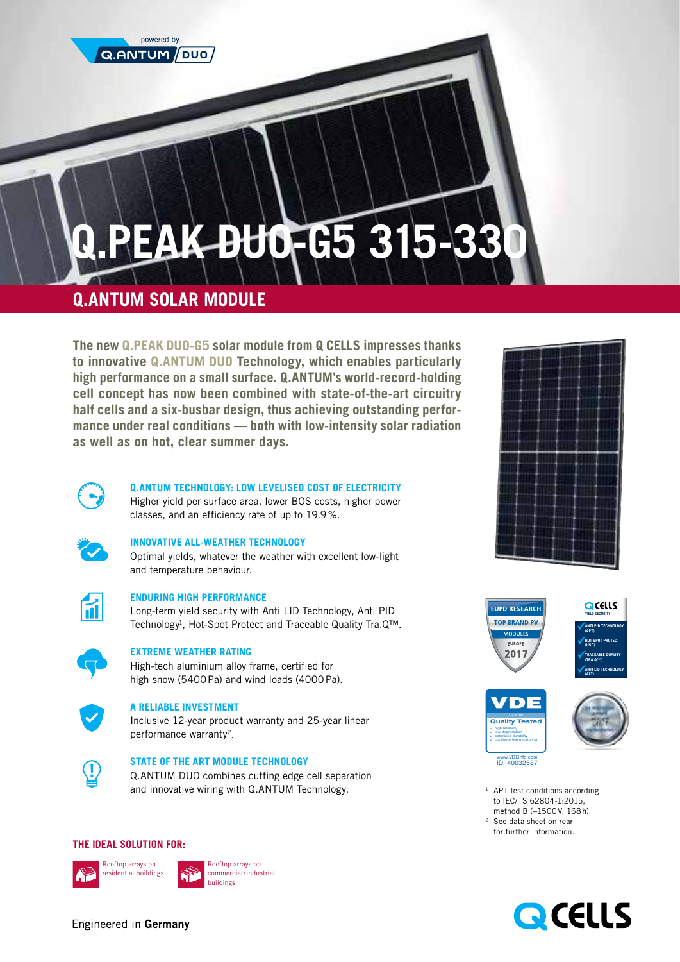

# **Q.PEAK DUO-G5 315-330**

# **Q.ANTUM SOLAR MODULE**

**The new Q.PEAK DUO-G5 solar module from Q CELLS impresses thanks to innovative Q.ANTUM DUO Technology, which enables particularly high performance on a small surface. Q.ANTUM's world-record-holding cell concept has now been combined with state-of-the-art circuitry half cells and a six-busbar design, thus achieving outstanding performance under real conditions — both with low-intensity solar radiation as well as on hot, clear summer days.**



# **Q.ANTUM TECHNOLOGY: LOW LEVELISED COST OF ELECTRICITY**

Higher yield per surface area, lower BOS costs, higher power classes, and an efficiency rate of up to 19.9%.



#### **INNOVATIVE ALL-WEATHER TECHNOLOGY**

Optimal yields, whatever the weather with excellent low-light and temperature behaviour.



# **ENDURING HIGH PERFORMANCE**

Long-term yield security with Anti LID Technology, Anti PID Technology<sup>1</sup>, Hot-Spot Protect and Traceable Quality Tra.Q™.



# **EXTREME WEATHER RATING**

High-tech aluminium alloy frame, certified for high snow (5400Pa) and wind loads (4000Pa).



#### **A RELIABLE INVESTMENT**

Inclusive 12-year product warranty and 25-year linear performance warranty2.



# **STATE OF THE ART MODULE TECHNOLOGY**

Q.ANTUM DUO combines cutting edge cell separation and innovative wiring with Q.ANTUM Technology.

# **THE IDEAL SOLUTION FOR:**





Rooftop arrays on commercial/industrial









<sup>1</sup> APT test conditions according to IEC/TS 62804-1:2015, method B (−1500V, 168h) <sup>2</sup> See data sheet on rear for further information.



Engineered in Germany